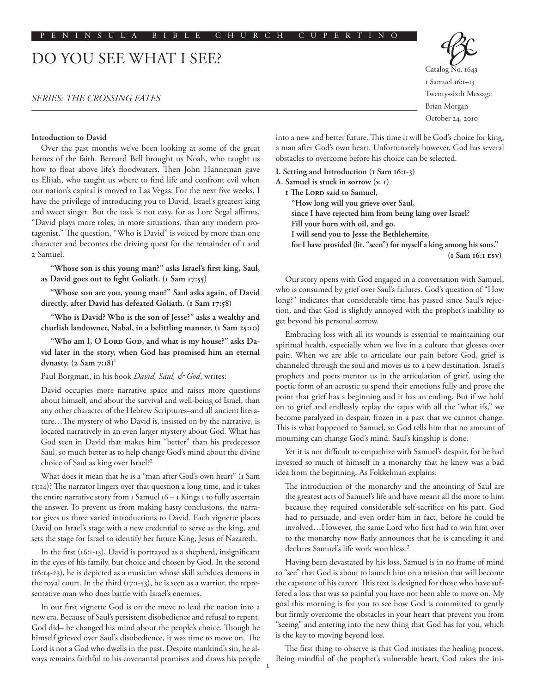# DO YOU SEE WHAT I SEE?

# *SERIES: THE CROSSING FATES*

#### **Introduction to David**

Over the past months we've been looking at some of the great heroes of the faith. Bernard Bell brought us Noah, who taught us how to float above life's floodwaters. Then John Hanneman gave us Elijah, who taught us where to find life and confront evil when our nation's capital is moved to Las Vegas. For the next five weeks, I have the privilege of introducing you to David, Israel's greatest king and sweet singer. But the task is not easy, for as Lore Segal affirms, "David plays more roles, in more situations, than any modern protagonist." The question, "Who is David" is voiced by more than one character and becomes the driving quest for the remainder of 1 and 2 Samuel.

**"Whose son is this young man?" asks Israel's first king, Saul, as David goes out to fight Goliath. (1 Sam 17:55)**

**"Whose son are you, young man?" Saul asks again, of David directly, after David has defeated Goliath. (1 Sam 17:58)**

**"Who is David? Who is the son of Jesse?" asks a wealthy and churlish landowner, Nabal, in a belittling manner. (1 Sam 25:10)**

"Who am I, O Loro Goo, and what is my house?" asks Da**vid later in the story, when God has promised him an eternal dynasty. (2 Sam 7:18)**<sup>1</sup>

Paul Borgman, in his book *David, Saul, & God*, writes:

David occupies more narrative space and raises more questions about himself, and about the survival and well-being of Israel, than any other character of the Hebrew Scriptures–and all ancient literature…The mystery of who David is, insisted on by the narrative, is located narratively in an even larger mystery about God. What has God seen in David that makes him "better" than his predecessor Saul, so much better as to help change God's mind about the divine choice of Saul as king over Israel?<sup>2</sup>

What does it mean that he is a "man after God's own heart" (1 Sam 13:14)? The narrator lingers over that question a long time, and it takes the entire narrative story from  $I$  Samuel  $I_0 - I$  Kings  $I$  to fully ascertain the answer. To prevent us from making hasty conclusions, the narrator gives us three varied introductions to David. Each vignette places David on Israel's stage with a new credential to serve as the king, and sets the stage for Israel to identify her future King, Jesus of Nazareth.

In the first (16:1-13), David is portrayed as a shepherd, insignificant in the eyes of his family, but choice and chosen by God. In the second (16:14-23), he is depicted as a musician whose skill subdues demons in the royal court. In the third  $(17:1-53)$ , he is seen as a warrior, the representative man who does battle with Israel's enemies.

In our first vignette God is on the move to lead the nation into a new era. Because of Saul's persistent disobedience and refusal to repent, God did– he changed his mind about the people's choice. Though he himself grieved over Saul's disobedience, it was time to move on. The Lord is not a God who dwells in the past. Despite mankind's sin, he always remains faithful to his covenantal promises and draws his people Catalog No. 1643 1 Samuel 16:1–13 Twenty-sixth Message Brian Morgan October 24, 2010

into a new and better future. This time it will be God's choice for king, a man after God's own heart. Unfortunately however, God has several obstacles to overcome before his choice can be selected.

**I. Setting and Introduction (1 Sam 16:1-3) A. Samuel is stuck in sorrow (v. 1) 1 The LORD said to Samuel, "How long will you grieve over Saul, since I have rejected him from being king over Israel? Fill your horn with oil, and go. I will send you to Jesse the Bethlehemite, for I have provided (lit. "seen") for myself a king among his sons." (1 Sam 16:1 esv)**

Our story opens with God engaged in a conversation with Samuel, who is consumed by grief over Saul's failures. God's question of "How long?" indicates that considerable time has passed since Saul's rejection, and that God is slightly annoyed with the prophet's inability to get beyond his personal sorrow.

Embracing loss with all its wounds is essential to maintaining our spiritual health, especially when we live in a culture that glosses over pain. When we are able to articulate our pain before God, grief is channeled through the soul and moves us to a new destination. Israel's prophets and poets mentor us in the articulation of grief, using the poetic form of an acrostic to spend their emotions fully and prove the point that grief has a beginning and it has an ending. But if we hold on to grief and endlessly replay the tapes with all the "what ifs," we become paralyzed in despair, frozen in a past that we cannot change. This is what happened to Samuel, so God tells him that no amount of mourning can change God's mind. Saul's kingship is done.

Yet it is not difficult to empathize with Samuel's despair, for he had invested so much of himself in a monarchy that he knew was a bad idea from the beginning. As Fokkelman explains:

The introduction of the monarchy and the anointing of Saul are the greatest acts of Samuel's life and have meant all the more to him because they required considerable self-sacrifice on his part. God had to persuade, and even order him in fact, before he could be involved…However, the same Lord who first had to win him over to the monarchy now flatly announces that he is canceling it and declares Samuel's life work worthless.<sup>3</sup>

Having been devastated by his loss, Samuel is in no frame of mind to "see" that God is about to launch him on a mission that will become the capstone of his career. This text is designed for those who have suffered a loss that was so painful you have not been able to move on. My goal this morning is for you to see how God is committed to gently but firmly overcome the obstacles in your heart that prevent you from "seeing" and entering into the new thing that God has for you, which is the key to moving beyond loss.

The first thing to observe is that God initiates the healing process. Being mindful of the prophet's vulnerable heart, God takes the ini-

1

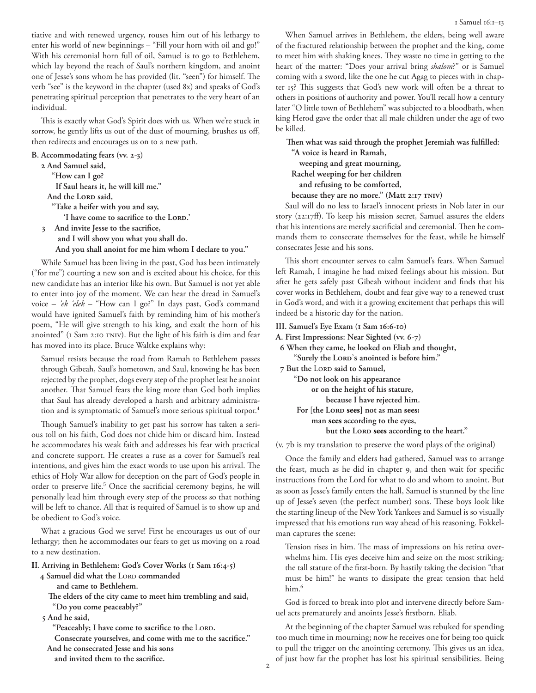tiative and with renewed urgency, rouses him out of his lethargy to enter his world of new beginnings – "Fill your horn with oil and go!" With his ceremonial horn full of oil, Samuel is to go to Bethlehem, which lay beyond the reach of Saul's northern kingdom, and anoint one of Jesse's sons whom he has provided (lit. "seen") for himself. The verb "see" is the keyword in the chapter (used 8x) and speaks of God's penetrating spiritual perception that penetrates to the very heart of an individual.

This is exactly what God's Spirit does with us. When we're stuck in sorrow, he gently lifts us out of the dust of mourning, brushes us off, then redirects and encourages us on to a new path.

# **B. Accommodating fears (vv. 2-3)**

**2 And Samuel said, "How can I go? If Saul hears it, he will kill me."**  And the LORD said,  **"Take a heifer with you and say,**  'I have come to sacrifice to the LORD.' **3 And invite Jesse to the sacrifice, and I will show you what you shall do. And you shall anoint for me him whom I declare to you."**  While Samuel has been living in the past, God has been intimately

("for me") courting a new son and is excited about his choice, for this new candidate has an interior like his own. But Samuel is not yet able to enter into joy of the moment. We can hear the dread in Samuel's voice – *'ek 'elek* – "How can I go?" In days past, God's command would have ignited Samuel's faith by reminding him of his mother's poem, "He will give strength to his king, and exalt the horn of his anointed" (I Sam 2:10 TNIV). But the light of his faith is dim and fear has moved into its place. Bruce Waltke explains why:

Samuel resists because the road from Ramah to Bethlehem passes through Gibeah, Saul's hometown, and Saul, knowing he has been rejected by the prophet, dogs every step of the prophet lest he anoint another. That Samuel fears the king more than God both implies that Saul has already developed a harsh and arbitrary administration and is symptomatic of Samuel's more serious spiritual torpor.<sup>4</sup>

Though Samuel's inability to get past his sorrow has taken a serious toll on his faith, God does not chide him or discard him. Instead he accommodates his weak faith and addresses his fear with practical and concrete support. He creates a ruse as a cover for Samuel's real intentions, and gives him the exact words to use upon his arrival. The ethics of Holy War allow for deception on the part of God's people in order to preserve life.<sup>5</sup> Once the sacrificial ceremony begins, he will personally lead him through every step of the process so that nothing will be left to chance. All that is required of Samuel is to show up and be obedient to God's voice.

What a gracious God we serve! First he encourages us out of our lethargy; then he accommodates our fears to get us moving on a road to a new destination.

## **II. Arriving in Bethlehem: God's Cover Works (1 Sam 16:4-5)**

4 Samuel did what the LORD commanded

 **and came to Bethlehem.** 

 **The elders of the city came to meet him trembling and said, "Do you come peaceably?"** 

 **5 And he said,**

"Peaceably; I have come to sacrifice to the LORD.

 **Consecrate yourselves, and come with me to the sacrifice." And he consecrated Jesse and his sons**

 **and invited them to the sacrifice.**

When Samuel arrives in Bethlehem, the elders, being well aware of the fractured relationship between the prophet and the king, come to meet him with shaking knees. They waste no time in getting to the heart of the matter: "Does your arrival bring *shalom*?" or is Samuel coming with a sword, like the one he cut Agag to pieces with in chapter 15? This suggests that God's new work will often be a threat to others in positions of authority and power. You'll recall how a century later "O little town of Bethlehem" was subjected to a bloodbath, when king Herod gave the order that all male children under the age of two be killed.

**Then what was said through the prophet Jeremiah was fulfilled:**

**"A voice is heard in Ramah, weeping and great mourning, Rachel weeping for her children**

 **and refusing to be comforted,**

**because they are no more." (Matt 2:17 tniv)**

Saul will do no less to Israel's innocent priests in Nob later in our story (22:17ff). To keep his mission secret, Samuel assures the elders that his intentions are merely sacrificial and ceremonial. Then he commands them to consecrate themselves for the feast, while he himself consecrates Jesse and his sons.

This short encounter serves to calm Samuel's fears. When Samuel left Ramah, I imagine he had mixed feelings about his mission. But after he gets safely past Gibeah without incident and finds that his cover works in Bethlehem, doubt and fear give way to a renewed trust in God's word, and with it a growing excitement that perhaps this will indeed be a historic day for the nation.

**III. Samuel's Eye Exam (1 Sam 16:6-10)**

**A. First Impressions: Near Sighted (vv. 6-7)**

 **6 When they came, he looked on Eliab and thought,**  "Surely the LORD's anointed is before him."

 $7$  But the LORD said to Samuel,

 **"Do not look on his appearance or on the height of his stature, because I have rejected him. For [the Lord sees] not as man sees: man sees according to the eyes,**  but the LORD sees according to the heart."

(v. 7b is my translation to preserve the word plays of the original)

Once the family and elders had gathered, Samuel was to arrange the feast, much as he did in chapter 9, and then wait for specific instructions from the Lord for what to do and whom to anoint. But as soon as Jesse's family enters the hall, Samuel is stunned by the line up of Jesse's seven (the perfect number) sons. These boys look like the starting lineup of the New York Yankees and Samuel is so visually impressed that his emotions run way ahead of his reasoning. Fokkelman captures the scene:

Tension rises in him. The mass of impressions on his retina overwhelms him. His eyes deceive him and seize on the most striking: the tall stature of the first-born. By hastily taking the decision "that must be him!" he wants to dissipate the great tension that held him.<sup>6</sup>

God is forced to break into plot and intervene directly before Samuel acts prematurely and anoints Jesse's firstborn, Eliab.

At the beginning of the chapter Samuel was rebuked for spending too much time in mourning; now he receives one for being too quick to pull the trigger on the anointing ceremony. This gives us an idea, of just how far the prophet has lost his spiritual sensibilities. Being

2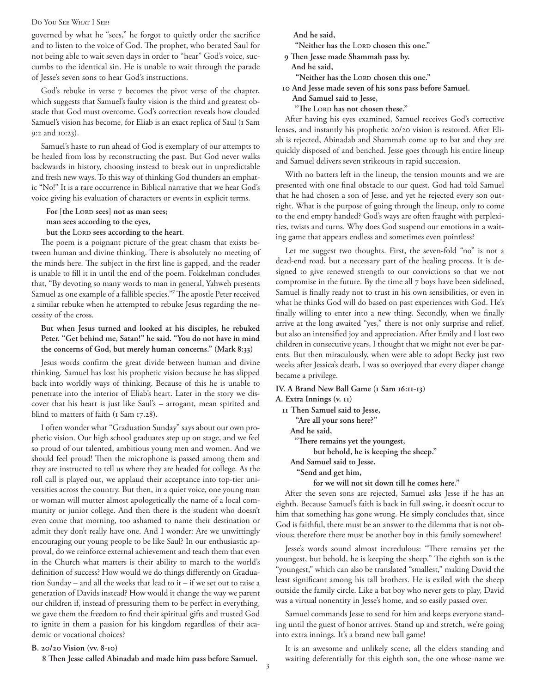#### Do You See What I See?

governed by what he "sees," he forgot to quietly order the sacrifice and to listen to the voice of God. The prophet, who berated Saul for not being able to wait seven days in order to "hear" God's voice, succumbs to the identical sin. He is unable to wait through the parade of Jesse's seven sons to hear God's instructions.

God's rebuke in verse 7 becomes the pivot verse of the chapter, which suggests that Samuel's faulty vision is the third and greatest obstacle that God must overcome. God's correction reveals how clouded Samuel's vision has become, for Eliab is an exact replica of Saul (1 Sam 9:2 and 10:23).

Samuel's haste to run ahead of God is exemplary of our attempts to be healed from loss by reconstructing the past. But God never walks backwards in history, choosing instead to break out in unpredictable and fresh new ways. To this way of thinking God thunders an emphatic "No!" It is a rare occurrence in Biblical narrative that we hear God's voice giving his evaluation of characters or events in explicit terms.

For [the LORD sees] not as man sees;  **man sees according to the eyes,** 

but the LORD sees according to the heart.

The poem is a poignant picture of the great chasm that exists between human and divine thinking. There is absolutely no meeting of the minds here. The subject in the first line is gapped, and the reader is unable to fill it in until the end of the poem. Fokkelman concludes that, "By devoting so many words to man in general, Yahweh presents Samuel as one example of a fallible species."<sup>7</sup> The apostle Peter received a similar rebuke when he attempted to rebuke Jesus regarding the necessity of the cross.

**But when Jesus turned and looked at his disciples, he rebuked Peter. "Get behind me, Satan!" he said. "You do not have in mind the concerns of God, but merely human concerns." (Mark 8:33)**

Jesus words confirm the great divide between human and divine thinking. Samuel has lost his prophetic vision because he has slipped back into worldly ways of thinking. Because of this he is unable to penetrate into the interior of Eliab's heart. Later in the story we discover that his heart is just like Saul's – arrogant, mean spirited and blind to matters of faith (1 Sam 17.28).

I often wonder what "Graduation Sunday" says about our own prophetic vision. Our high school graduates step up on stage, and we feel so proud of our talented, ambitious young men and women. And we should feel proud! Then the microphone is passed among them and they are instructed to tell us where they are headed for college. As the roll call is played out, we applaud their acceptance into top-tier universities across the country. But then, in a quiet voice, one young man or woman will mutter almost apologetically the name of a local community or junior college. And then there is the student who doesn't even come that morning, too ashamed to name their destination or admit they don't really have one. And I wonder: Are we unwittingly encouraging our young people to be like Saul? In our enthusiastic approval, do we reinforce external achievement and teach them that even in the Church what matters is their ability to march to the world's definition of success? How would we do things differently on Graduation Sunday – and all the weeks that lead to it – if we set out to raise a generation of Davids instead? How would it change the way we parent our children if, instead of pressuring them to be perfect in everything, we gave them the freedom to find their spiritual gifts and trusted God to ignite in them a passion for his kingdom regardless of their academic or vocational choices?

 **And he said,** 

"Neither has the LORD chosen this one."

 **9 Then Jesse made Shammah pass by.** 

 **And he said,** 

"Neither has the LORD chosen this one."

 **10 And Jesse made seven of his sons pass before Samuel. And Samuel said to Jesse,** 

"The LORD has not chosen these."

After having his eyes examined, Samuel receives God's corrective lenses, and instantly his prophetic 20/20 vision is restored. After Eliab is rejected, Abinadab and Shammah come up to bat and they are quickly disposed of and benched. Jesse goes through his entire lineup and Samuel delivers seven strikeouts in rapid succession.

With no batters left in the lineup, the tension mounts and we are presented with one final obstacle to our quest. God had told Samuel that he had chosen a son of Jesse, and yet he rejected every son outright. What is the purpose of going through the lineup, only to come to the end empty handed? God's ways are often fraught with perplexities, twists and turns. Why does God suspend our emotions in a waiting game that appears endless and sometimes even pointless?

Let me suggest two thoughts. First, the seven-fold "no" is not a dead-end road, but a necessary part of the healing process. It is designed to give renewed strength to our convictions so that we not compromise in the future. By the time all 7 boys have been sidelined, Samuel is finally ready not to trust in his own sensibilities, or even in what he thinks God will do based on past experiences with God. He's finally willing to enter into a new thing. Secondly, when we finally arrive at the long awaited "yes," there is not only surprise and relief, but also an intensified joy and appreciation. After Emily and I lost two children in consecutive years, I thought that we might not ever be parents. But then miraculously, when were able to adopt Becky just two weeks after Jessica's death, I was so overjoyed that every diaper change became a privilege.

**IV. A Brand New Ball Game (1 Sam 16:11-13)**

**A. Extra Innings (v. 11) 11 Then Samuel said to Jesse, "Are all your sons here?"** 

> **And he said, "There remains yet the youngest, but behold, he is keeping the sheep." And Samuel said to Jesse, "Send and get him, for we will not sit down till he comes here."**

After the seven sons are rejected, Samuel asks Jesse if he has an eighth. Because Samuel's faith is back in full swing, it doesn't occur to him that something has gone wrong. He simply concludes that, since God is faithful, there must be an answer to the dilemma that is not obvious; therefore there must be another boy in this family somewhere!

Jesse's words sound almost incredulous: "There remains yet the youngest, but behold, he is keeping the sheep." The eighth son is the "youngest," which can also be translated "smallest," making David the least significant among his tall brothers. He is exiled with the sheep outside the family circle. Like a bat boy who never gets to play, David was a virtual nonentity in Jesse's home, and so easily passed over.

Samuel commands Jesse to send for him and keeps everyone standing until the guest of honor arrives. Stand up and stretch, we're going into extra innings. It's a brand new ball game!

# **B. 20/20 Vision (vv. 8-10)**

 **8 Then Jesse called Abinadab and made him pass before Samuel.** 

It is an awesome and unlikely scene, all the elders standing and waiting deferentially for this eighth son, the one whose name we